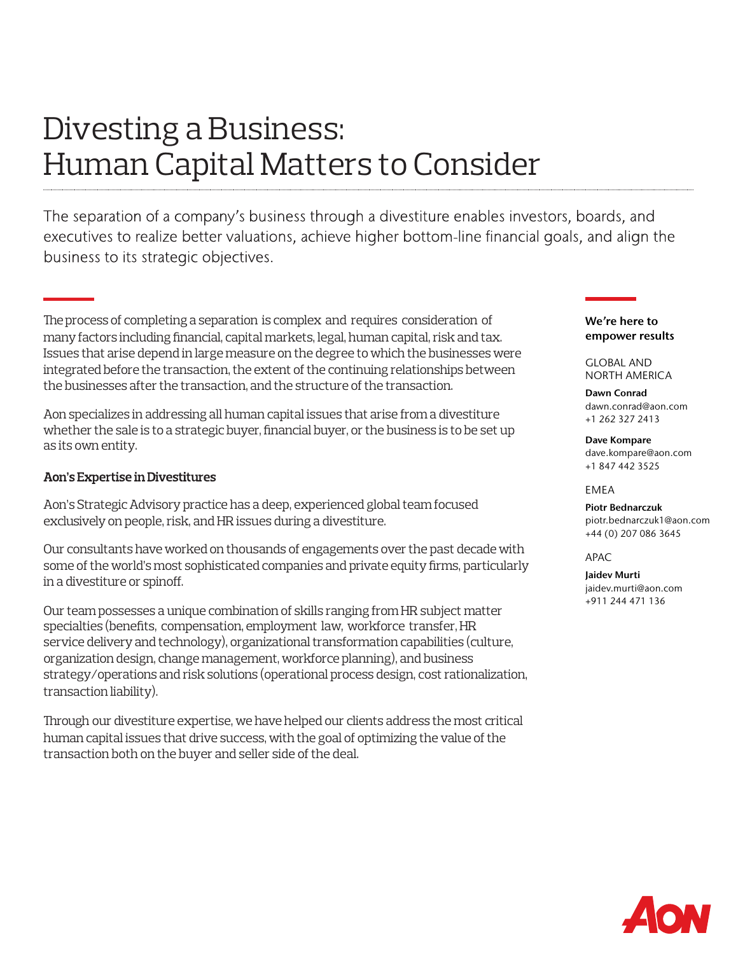# Divesting a Business: Human Capital Matters to Consider

The separation of a company's business through a divestiture enables investors, boards, and executives to realize better valuations, achieve higher bottom-line financial goals, and align the business to its strategic objectives.

The process of completing a separation is complex and requires consideration of many factors including financial, capital markets, legal, human capital, risk and tax. Issues that arise depend in large measure on the degree to which the businesses were integrated before the transaction, the extent of the continuing relationships between the businesses after the transaction, and the structure of the transaction.

Aonspecializes in addressing all human capital issues that arise from a divestiture whether the sale is to a strategic buyer, financial buyer, or the business is to be set up as its own entity.

## Aon's Expertise in Divestitures

Aon's Strategic Advisory practice has a deep, experienced global team focused exclusively on people, risk, and HR issues during a divestiture.

Our consultants have worked on thousands of engagements over the past decade with some of the world's most sophisticated companies and private equity firms, particularly in a divestiture or spinoff.

Our team possesses a unique combination of skills ranging from HR subject matter specialties (benefits, compensation, employment law, workforce transfer, HR service delivery and technology), organizational transformation capabilities (culture, organization design, change management, workforce planning), and business strategy/operations and risk solutions (operational process design, cost rationalization, transaction liability).

Through our divestiture expertise, we have helped our clients address the most critical human capital issues that drive success, with the goal of optimizing the value of the transaction both on the buyer and seller side of the deal.

## We're here to empower results

GLOBAL AND NORTH AMERICA

Dawn Conrad dawn.conrad@aon.com +1 262 327 2413

Dave Kompare dave.kompare@aon.com +1 847 442 3525

## EMEA

Piotr Bednarczuk piotr.bednarczuk1@aon.com +44 (0) 207 086 3645

 $\triangle$ P $\triangle$ C

Jaidev Murti jaidev.murti@aon.com +911 244 471 136

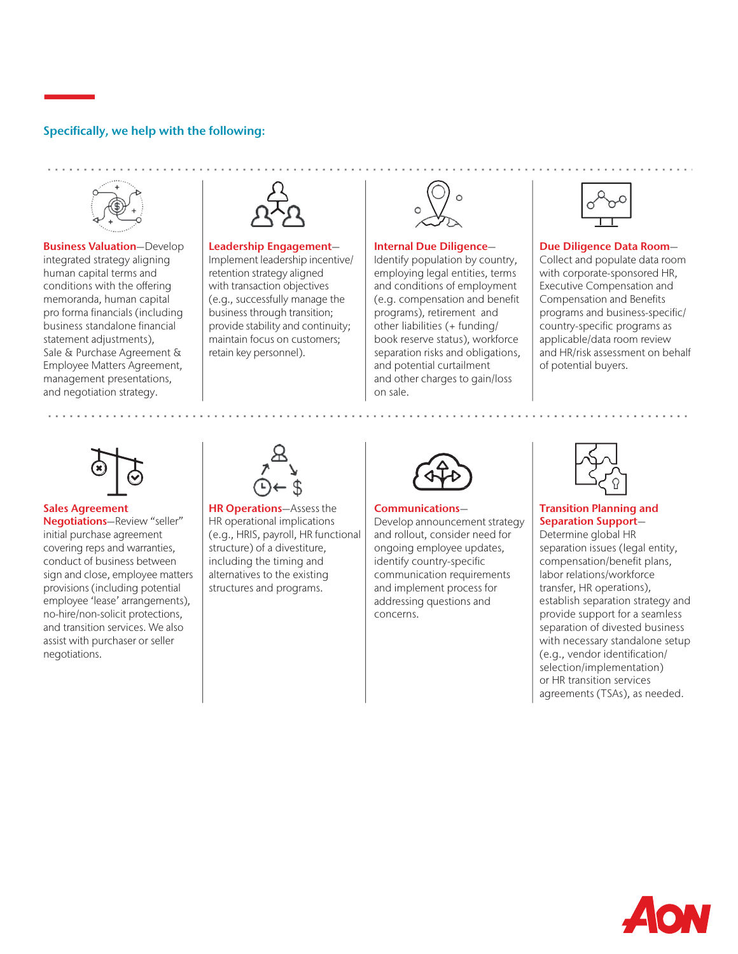## Specifically, we help with the following:



**Business Valuation-Develop** integrated strategy aligning human capital terms and conditions with the offering memoranda, human capital pro forma financials (including business standalone financial statement adjustments), Sale & Purchase Agreement & Employee Matters Agreement, management presentations, and negotiation strategy.



#### Leadership Engagement—

Implement leadership incentive/ retention strategy aligned with transaction objectives (e.g., successfully manage the business through transition; provide stability and continuity; maintain focus on customers; retain key personnel).

#### Internal Due Diligence—

Identify population by country, employing legal entities, terms and conditions of employment (e.g. compensation and benefit programs), retirement and other liabilities (+ funding/ book reserve status), workforce separation risks and obligations, and potential curtailment and other charges to gain/loss on sale.



#### Due Diligence Data Room—

Collect and populate data room with corporate-sponsored HR, Executive Compensation and Compensation and Benefits programs and business-specific/ country-specific programs as applicable/data room review and HR/risk assessment on behalf of potential buyers.



### Sales Agreement

Negotiations—Review "seller" initial purchase agreement covering reps and warranties, conduct of business between sign and close, employee matters provisions (including potential employee 'lease' arrangements), no-hire/non-solicit protections, and transition services. We also assist with purchaser or seller negotiations.



HR Operations—Assess the HR operational implications (e.g., HRIS, payroll, HR functional structure) of a divestiture, including the timing and alternatives to the existing structures and programs.



#### Communications—

Develop announcement strategy and rollout, consider need for ongoing employee updates, identify country-specific communication requirements and implement process for addressing questions and concerns.



### Transition Planning and Separation Support—

Determine global HR separation issues (legal entity, compensation/benefit plans, labor relations/workforce transfer, HR operations), establish separation strategy and provide support for a seamless separation of divested business with necessary standalone setup (e.g., vendor identification/ selection/implementation) or HR transition services agreements (TSAs), as needed.

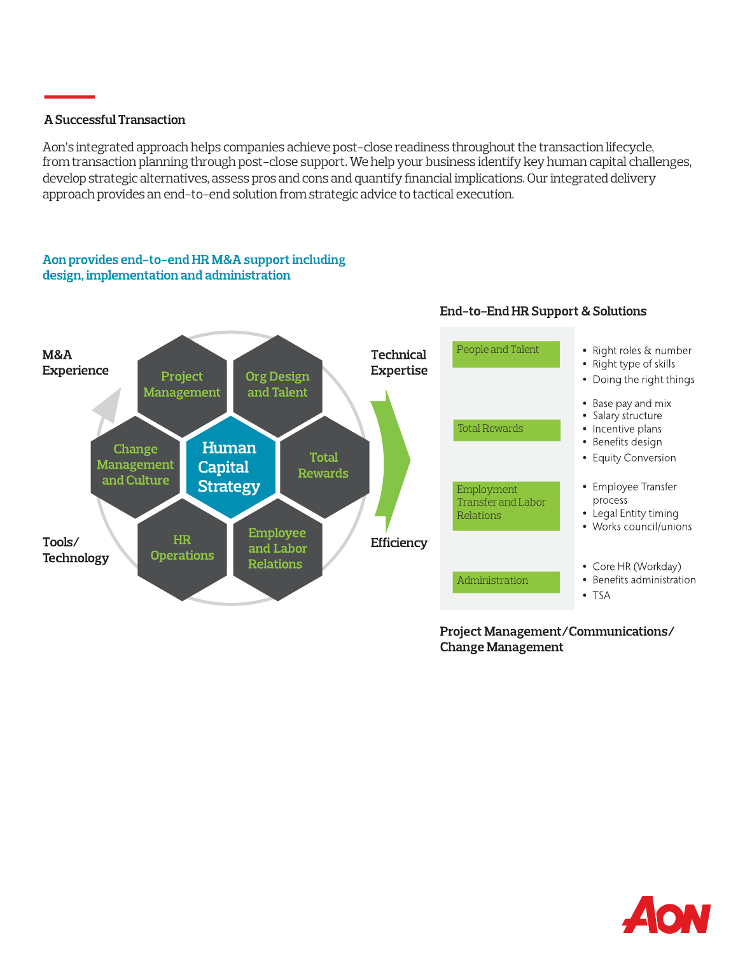# A Successful Transaction

Aon's integrated approach helps companies achieve post-close readiness throughout the transaction lifecycle, from transaction planning through post-close support. We help your business identify keyhuman capital challenges, develop strategic alternatives, assess pros and cons and quantify financial implications. Our integrated delivery approach provides an end-to-end solution from strategic advice to tactical execution.

# Aon provides end-to-end HR M&A support including design, implementation and administration



Project Management/Communications/ **Change Management** 

End-to-End HR Support & Solutions